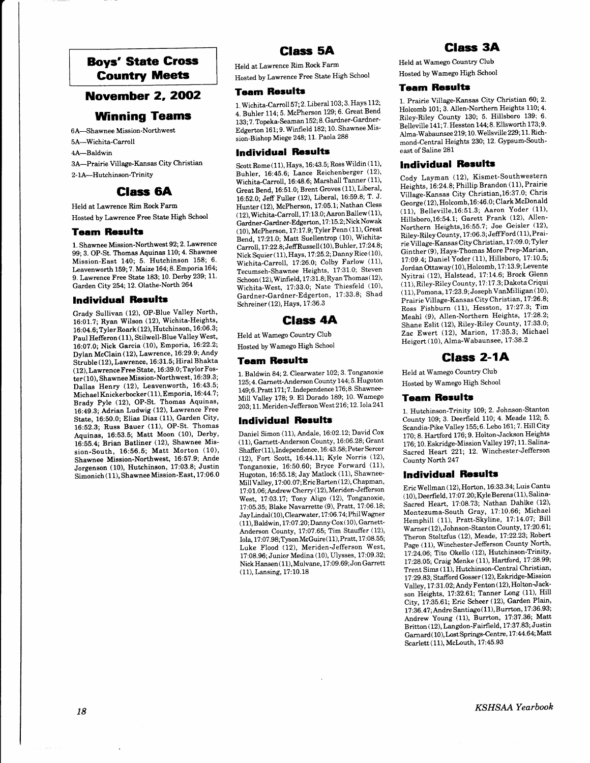# Boys' State Gross Gountry Meets

## **November 2, 2002**

# Winning Teams

6A-Shawnee Mission-Northwest 5A-Wichita-Carroll 4A-Baldwin 3A-Prairie Village-Kansas City Christian 2-1A--Hutchinson-Trinity

## Glass 6A

Held at Lawrence Rim Rock Farm Hosted by Lawrence Free State High School

### **Team Results**

1. Shawnee Mission-Northwest 92;2. Lawrence 99; 3. OP-St. Thomas Aquinas 110; 4. Shawnee Mission-East 140; 5. Hutchinson 158; 6. Leavenworth 159; 7. Maize 164; 8. Emporia 164; 9. Lawrence Free State 183; 10. Derby 239; 11. Garden City 254; 12. Olathe-Norrh 264

### **Individual Results**

Grady Sullivan (12), OP-Blue Valley North, 16:01.7; Ryan Wilson (12), Wichita-Heights' 16:04.6; Tyler Roark (12), Hutchinson, 16:06.3; Paul Hefferon (11), Stilwell-Blue Valley West, 16:07.0; Nick Garcia (10), Emporia, 16:22.2; Dylan McClain (12), Lawrence, 16:29.9; Andy Siruble (12), Lawrence, 16:31.5; Hiral Bhakta ( 12), Lawrence Free State, 16:39.0; Taylor Foster (10), Shawnee Mission-Northwest, 16:39.3; Dallas Henry (12), Leavenworth, 16:43.5; Michael Knickerbocker (11), Emporia, 16:44.7; Brady Pyle (12), OP-St. Thomas Aquinas, 16:49.3; Adrian Ludwig (12), Lawrence Free State, 16:50.0; Elias Diaz (11), Garden City, 16:52.3; Russ Bauer (11), OP-SI. Thomas Aquinas, 16:53.5; Matt Moon (10), Derby, 16:55.4; Brian Batliner (12), Shawnee Mission-South, 16:56.5; Matt Morton (10), Shawnee Mission-Northwest, 16:57.9; Ande Jorgenson (10), Hutchinson, 17:03.8; Justin Simonich (11), Shawnee Mission-East, 17:06.0

# Glass 5A

Held at Lawrence Rim Rock Farm Hosted by Lawrence Free State High School

#### **Team Results**

1. Wichita-Carroll 57; 2. Liberal 103; 3. Hays 112; 4. Buhler 114; 5. McPherson 129; 6. Great Bend 133; 7. Topeka-Seaman 152; 8. Gardner-Gardner-Edgerton 161; 9. Winfield 182; 10. Shawnee Mission-Bishop Miege 248; 11. Paola 288

#### lndividual Rorultr

Scott Rome (11), Hays, 16:43.5; Ross Wildin (11), Buhler, 16:45.6; Lance Reichenberget (12), Wichita-Carroll, 16:48.6; Marshall Tanner (11), Great Bend, 16:51.0; Brent Groves (11), Liberal, 16:52.0; Jeff Fuller (12), Liberal, 16:59.8; T. J. Hunter (12), McPherson, 17:05.1; Nathan Cless ( 12), Wichita-Carroll, 17:13.0;Aaron Ballew (11)' Gardner-Gardner-Edgerton, 17:15.2; Nick Nowak (10), McPherson, 17:17.9; Tyler Penn (11), Great Bend, 17:21.0; Matt Suellentrop (10), Wichita- $Carroll, 17:22.8; JeffRussell (10), Buhler, 17:24.8;$ Nick Squier (11), Hays, 17:25.2; Danny Rice (10), Wichita-Carroll, 1?:26.0; Colby Farlow (11), Tecumseh-Shawnee Heights, 17:31.0; Steven  $Schoon (12), Winfield, 17:31.8; Ryan Thomas (12),$ Wichita-West, 17:33.0; Nate Thiesfeld (10), Gardner-Gardner-Edgerton, 17:33.8; Shad Schreiner (12), Hays, 17:36.3

## Glass 4A

Held atWamego Country Club Hosted byWamego High School

#### **Team Results**

1. Baldwin 84; 2. Clearwater 102; 3. Tonganoxie 125; 4. Garnett-Anderson County 144; 5. Hugoton 149; 6. Pratt 171; 7. Independence 176; 8. Shawnee-Mill Valley 178; 9. El Dorado 189; 10' Wamego 203; 11. Meriden-Jefferson West 216; 12. Iola 241

#### **Individual Results**

Daniel Simon (11), Andale, 16:02.12; David Cox (11), Garnett-Anderson County, 16:06.28; Grant Shaffer (11), Independence, 16:43.58; Peter Sercer (12), Fort Scott, 16:44.11; Kyle Norris (12), Tonganoxie, 16:50.60; Bryce Forward (11), Hugoton, 16:55.18; Jay Matlock (11), Shawnee-MillValley, 1?:00.07; Eric Barten ( 12), Chapman, 1? :0 1.06; Andrew Cherry ( 12), Meriden-Jefferson West, 17:03.1?; Tony Aligo (12), Tonganoxie, 17:05.35; Blake Navarrette (9), Pratt, 17:06.18; Jay Lindal (10), Clearwater, 17:06.74; Phil Wagner  $(11),$  Baldwin,  $17.07.20$ ; Danny Cox $(10),$  Garnett-Anderson County, 17:07.65; Tim Stauffer (12), Iolq 17:07.98; Tyson McGuire( 11), Pratt, 17:08.55; Luke Flood (12), Meriden-Jefferson West, 17:08. 96; Junior Medina ( 10), Ulysses, l7 :09.32; Nick Hansen (11), Mulvane, 17:09.69; Jon Garrett (11), Lansing, 17:10.18

# Glass 3A

Held atWamego Country Club Hosted byWamego High School

### **Team Results**

1. Prairie Village-Kansas City Christian 60; 2. Holcomb 101; 3. Allen-Northern Heights 110;4. Riley-Riley County 130; 5. Hillsboro 139; 6. Belleville 141; ?. Hesston 144;8. Ellsworth 173;9. Alma-Wabaunsee 2 19 ; 10. Wellsville 229 ; I 1. Richmond-Central Heights 23O; 12. Gypsum-Southeast of Saline 281

## **Individual Results**

Cody Layman (12), Kismet-Southwestern Heights, 16:24.8; Phillip Brandon (11), Prairie Village-Kansas City Christian, 16:37.0; Chris George ( 12), Holcomb, 16:46.0; Clark McDonald (11), Belleville, 16:51.3; Aaron Yoder (11), Hillsboro,16:54.1; Garett Frank (12), Allen-Northern Heights,16:55.7; Joe Geisler (12), Riley-Riley County, 17:06.3; JeffFord (11), Prairie Village-Kansas City Christian, 17:09.0, Tyler Ginther (9), Hays-Thomas More Prep-Marian, 17:09.4; Daniel Yoder (11), Hillsboro, 17:10.5; Jordan Ottaway( 10), Holcomb, 17:13.9; Levente Nyitrai (12), Halstead, 17:14.6; Brock Glenn (11), Riley-Riley County, 1?:17.3; Dakota Criqui ( 11), Pomona, 17 :23.9; Joseph VanMilligan ( 10)' Prairie Village-Kansas City Christian, 17:26.8; Ross Fishburn (11), Hesston, 17:27.3; Tim Meahl (9), Allen-Northern Heights, 17:28.2; Shane Eslit (12), Riley-Riley County, 17:33.0; Zac Ewert (12), Marion, 17:35.3; Michael Heigert (10), Alma-Wabaunsee, 17:38.2

# **Class 2-1A**

Held at Wamego Country Club Hosted by Wamego High School

#### **Team Results**

1. Hutchinson-Trinity 109; 2. Johnson-Stanton County 109; 3. Deerfield 110; 4. Meade 112; 5. Scandia-Pike Vailey 155;6. Lebo 161; 7. Hill Citv 170; 8. Hartford 176; 9. Holton-Jackson Heights 176; 10. Eskridge-Mission Valley 197; 11. Salina-Sacred Heart 221; 12. Winchester-Jefferson County North 247

#### Individual Results

Eric Wellman (12), Horton, L6:33.34; Luis Cantu  $(10)$ , Deerfield, 17:07.20; Kyle Berens $(11)$ , Salina-Sacred Heart, 17:08.73; Nathan Dahlke (12), Montezuma-South Gray, 17:10.66; Michael Hemphill (11), Pratt-Skyline, 17:14.07; Bill Warner (12), Johnson-Stanton County, 17:20.61; Theron Stoltzfus (12), Meade, 17:22.23; Robert Page (11), Winchester-Jefferson County North, 17:24.06; Tito Okello (12), Hutchinson-Trinity, 17:28.05; Craig Menke (11), Hartford, 17:28.99; Trent Sims (11), Hutchinson-Central Christian, 17:29.83; Stafford Gosser (12), Eskridge-Mission Valley, 17:31.02; Andy Fenton (12), Holton-Jackson Heights, 17:32.61; Tanner Long (11), Hill City, 17:35.61; Eric Scheer (12), Garden Plain, 17:36.47; Andre Santiago (11), Burrton, 17:36.93; Andrew Young (11), Burrton, 17:37.36; Matt Britton ( 12), Langdon-Fairfield, 17:37.83; Justin Garnard(10), Lost Springs-Centre, 17:44.64; Matt Scarlett (11), Mclouth, 17:45.93